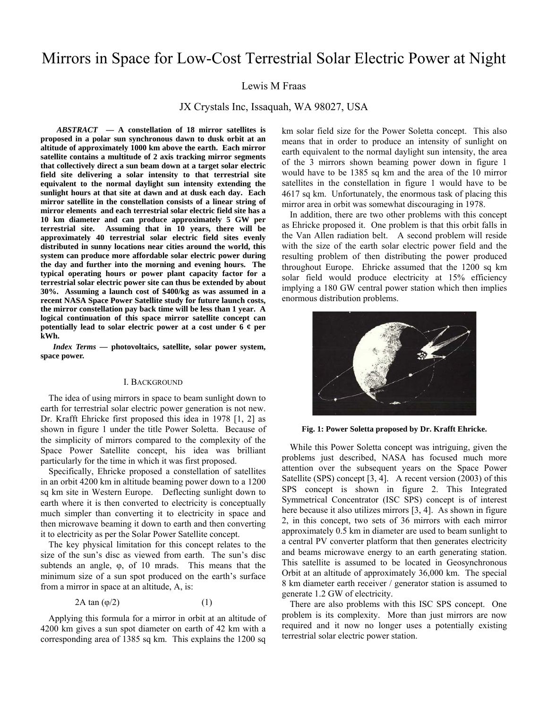# Mirrors in Space for Low-Cost Terrestrial Solar Electric Power at Night

# Lewis M Fraas

JX Crystals Inc, Issaquah, WA 98027, USA

*ABSTRACT* **— A constellation of 18 mirror satellites is proposed in a polar sun synchronous dawn to dusk orbit at an altitude of approximately 1000 km above the earth. Each mirror satellite contains a multitude of 2 axis tracking mirror segments that collectively direct a sun beam down at a target solar electric field site delivering a solar intensity to that terrestrial site equivalent to the normal daylight sun intensity extending the sunlight hours at that site at dawn and at dusk each day. Each mirror satellite in the constellation consists of a linear string of mirror elements and each terrestrial solar electric field site has a 10 km diameter and can produce approximately 5 GW per terrestrial site. Assuming that in 10 years, there will be approximately 40 terrestrial solar electric field sites evenly distributed in sunny locations near cities around the world, this system can produce more affordable solar electric power during the day and further into the morning and evening hours. The typical operating hours or power plant capacity factor for a terrestrial solar electric power site can thus be extended by about 30%. Assuming a launch cost of \$400/kg as was assumed in a recent NASA Space Power Satellite study for future launch costs, the mirror constellation pay back time will be less than 1 year. A logical continuation of this space mirror satellite concept can potentially lead to solar electric power at a cost under 6 ¢ per kWh.** 

*Index Terms* **— photovoltaics, satellite, solar power system, space power.**

### I. BACKGROUND

The idea of using mirrors in space to beam sunlight down to earth for terrestrial solar electric power generation is not new. Dr. Krafft Ehricke first proposed this idea in 1978 [1, 2] as shown in figure 1 under the title Power Soletta. Because of the simplicity of mirrors compared to the complexity of the Space Power Satellite concept, his idea was brilliant particularly for the time in which it was first proposed.

Specifically, Ehricke proposed a constellation of satellites in an orbit 4200 km in altitude beaming power down to a 1200 sq km site in Western Europe. Deflecting sunlight down to earth where it is then converted to electricity is conceptually much simpler than converting it to electricity in space and then microwave beaming it down to earth and then converting it to electricity as per the Solar Power Satellite concept.

The key physical limitation for this concept relates to the size of the sun's disc as viewed from earth. The sun's disc subtends an angle, φ, of 10 mrads. This means that the minimum size of a sun spot produced on the earth's surface from a mirror in space at an altitude, A, is:

$$
2A \tan(\varphi/2) \tag{1}
$$

Applying this formula for a mirror in orbit at an altitude of 4200 km gives a sun spot diameter on earth of 42 km with a corresponding area of 1385 sq km. This explains the 1200 sq

km solar field size for the Power Soletta concept. This also means that in order to produce an intensity of sunlight on earth equivalent to the normal daylight sun intensity, the area of the 3 mirrors shown beaming power down in figure 1 would have to be 1385 sq km and the area of the 10 mirror satellites in the constellation in figure 1 would have to be 4617 sq km. Unfortunately, the enormous task of placing this mirror area in orbit was somewhat discouraging in 1978.

In addition, there are two other problems with this concept as Ehricke proposed it. One problem is that this orbit falls in the Van Allen radiation belt. A second problem will reside with the size of the earth solar electric power field and the resulting problem of then distributing the power produced throughout Europe. Ehricke assumed that the 1200 sq km solar field would produce electricity at 15% efficiency implying a 180 GW central power station which then implies enormous distribution problems.



**Fig. 1: Power Soletta proposed by Dr. Krafft Ehricke.** 

While this Power Soletta concept was intriguing, given the problems just described, NASA has focused much more attention over the subsequent years on the Space Power Satellite (SPS) concept [3, 4]. A recent version (2003) of this SPS concept is shown in figure 2. This Integrated Symmetrical Concentrator (ISC SPS) concept is of interest here because it also utilizes mirrors [3, 4]. As shown in figure 2, in this concept, two sets of 36 mirrors with each mirror approximately 0.5 km in diameter are used to beam sunlight to a central PV converter platform that then generates electricity and beams microwave energy to an earth generating station. This satellite is assumed to be located in Geosynchronous Orbit at an altitude of approximately 36,000 km. The special 8 km diameter earth receiver / generator station is assumed to generate 1.2 GW of electricity.

There are also problems with this ISC SPS concept. One problem is its complexity. More than just mirrors are now required and it now no longer uses a potentially existing terrestrial solar electric power station.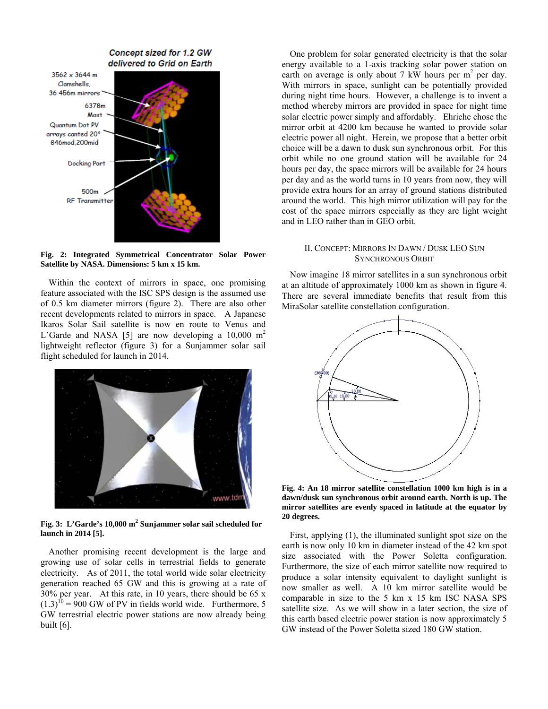

**Fig. 2: Integrated Symmetrical Concentrator Solar Power Satellite by NASA. Dimensions: 5 km x 15 km.** 

Within the context of mirrors in space, one promising feature associated with the ISC SPS design is the assumed use of 0.5 km diameter mirrors (figure 2). There are also other recent developments related to mirrors in space. A Japanese Ikaros Solar Sail satellite is now en route to Venus and L'Garde and NASA [5] are now developing a  $10,000 \text{ m}^2$ lightweight reflector (figure 3) for a Sunjammer solar sail flight scheduled for launch in 2014.



Fig. 3: L'Garde's 10,000 m<sup>2</sup> Sunjammer solar sail scheduled for **launch in 2014 [5].** 

Another promising recent development is the large and growing use of solar cells in terrestrial fields to generate electricity. As of 2011, the total world wide solar electricity generation reached 65 GW and this is growing at a rate of 30% per year. At this rate, in 10 years, there should be 65 x  $(1.3)^{10}$  = 900 GW of PV in fields world wide. Furthermore, 5 GW terrestrial electric power stations are now already being built [6].

One problem for solar generated electricity is that the solar energy available to a 1-axis tracking solar power station on earth on average is only about 7 kW hours per  $m<sup>2</sup>$  per day. With mirrors in space, sunlight can be potentially provided during night time hours. However, a challenge is to invent a method whereby mirrors are provided in space for night time solar electric power simply and affordably. Ehriche chose the mirror orbit at 4200 km because he wanted to provide solar electric power all night. Herein, we propose that a better orbit choice will be a dawn to dusk sun synchronous orbit. For this orbit while no one ground station will be available for 24 hours per day, the space mirrors will be available for 24 hours per day and as the world turns in 10 years from now, they will provide extra hours for an array of ground stations distributed around the world. This high mirror utilization will pay for the cost of the space mirrors especially as they are light weight and in LEO rather than in GEO orbit.

## II. CONCEPT: MIRRORS IN DAWN / DUSK LEO SUN SYNCHRONOUS ORBIT

Now imagine 18 mirror satellites in a sun synchronous orbit at an altitude of approximately 1000 km as shown in figure 4. There are several immediate benefits that result from this MiraSolar satellite constellation configuration.



**Fig. 4: An 18 mirror satellite constellation 1000 km high is in a dawn/dusk sun synchronous orbit around earth. North is up. The mirror satellites are evenly spaced in latitude at the equator by 20 degrees.** 

First, applying (1), the illuminated sunlight spot size on the earth is now only 10 km in diameter instead of the 42 km spot size associated with the Power Soletta configuration. Furthermore, the size of each mirror satellite now required to produce a solar intensity equivalent to daylight sunlight is now smaller as well. A 10 km mirror satellite would be comparable in size to the 5 km x 15 km ISC NASA SPS satellite size. As we will show in a later section, the size of this earth based electric power station is now approximately 5 GW instead of the Power Soletta sized 180 GW station.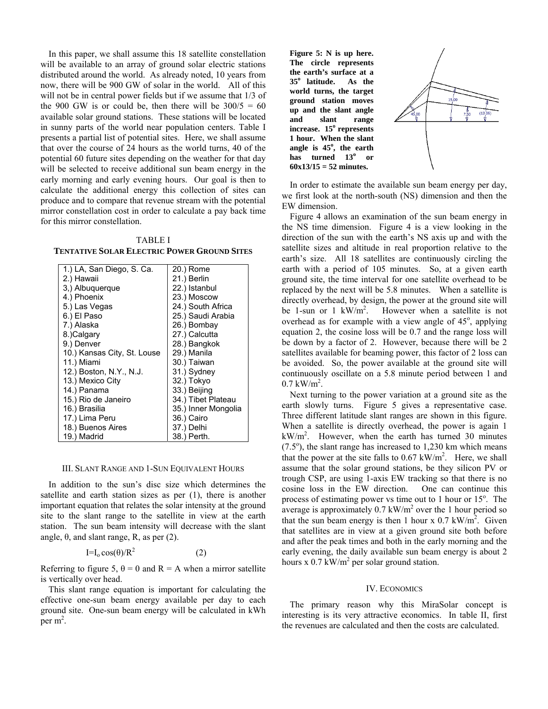In this paper, we shall assume this 18 satellite constellation will be available to an array of ground solar electric stations distributed around the world. As already noted, 10 years from now, there will be 900 GW of solar in the world. All of this will not be in central power fields but if we assume that 1/3 of the 900 GW is or could be, then there will be  $300/5 = 60$ available solar ground stations. These stations will be located in sunny parts of the world near population centers. Table I presents a partial list of potential sites. Here, we shall assume that over the course of 24 hours as the world turns, 40 of the potential 60 future sites depending on the weather for that day will be selected to receive additional sun beam energy in the early morning and early evening hours. Our goal is then to calculate the additional energy this collection of sites can produce and to compare that revenue stream with the potential mirror constellation cost in order to calculate a pay back time for this mirror constellation.

TABLE I **TENTATIVE SOLAR ELECTRIC POWER GROUND SITES**

| 1.) LA, San Diego, S. Ca.   | 20.) Rome           |  |
|-----------------------------|---------------------|--|
| 2.) Hawaii                  | 21.) Berlin         |  |
| 3.) Albuguergue             | 22.) Istanbul       |  |
| 4.) Phoenix                 | 23.) Moscow         |  |
| 5.) Las Vegas               | 24.) South Africa   |  |
| 6.) El Paso                 | 25.) Saudi Arabia   |  |
| 7.) Alaska                  | 26.) Bombay         |  |
| 8.)Calgary                  | 27.) Calcutta       |  |
| 9.) Denver                  | 28.) Bangkok        |  |
| 10.) Kansas City, St. Louse | 29.) Manila         |  |
| 11.) Miami                  | 30.) Taiwan         |  |
| 12.) Boston, N.Y., N.J.     | 31.) Sydney         |  |
| 13.) Mexico City            | 32.) Tokyo          |  |
| 14.) Panama                 | 33.) Beijing        |  |
| 15.) Rio de Janeiro         | 34.) Tibet Plateau  |  |
| 16.) Brasilia               | 35.) Inner Mongolia |  |
| 17.) Lima Peru              | 36.) Cairo          |  |
| 18.) Buenos Aires           | 37.) Delhi          |  |
| 19.) Madrid                 | 38.) Perth.         |  |

### III. SLANT RANGE AND 1-SUN EQUIVALENT HOURS

In addition to the sun's disc size which determines the satellite and earth station sizes as per (1), there is another important equation that relates the solar intensity at the ground site to the slant range to the satellite in view at the earth station. The sun beam intensity will decrease with the slant angle,  $\theta$ , and slant range, R, as per (2).

$$
I = I_0 \cos(\theta) / R^2 \tag{2}
$$

Referring to figure 5,  $\theta = 0$  and R = A when a mirror satellite is vertically over head.

This slant range equation is important for calculating the effective one-sun beam energy available per day to each ground site. One-sun beam energy will be calculated in kWh per  $m^2$ .

**Figure 5: N is up here. The circle represents the earth's surface at a 35o latitude. As the world turns, the target ground station moves up and the slant angle and slant range increase. 15<sup>o</sup> represents 1 hour. When the slant**  angle is  $45^\circ$ , the earth **has turned 13<sup>o</sup> or 60x13/15 = 52 minutes.** 



In order to estimate the available sun beam energy per day, we first look at the north-south (NS) dimension and then the EW dimension.

Figure 4 allows an examination of the sun beam energy in the NS time dimension. Figure 4 is a view looking in the direction of the sun with the earth's NS axis up and with the satellite sizes and altitude in real proportion relative to the earth's size. All 18 satellites are continuously circling the earth with a period of 105 minutes. So, at a given earth ground site, the time interval for one satellite overhead to be replaced by the next will be 5.8 minutes. When a satellite is directly overhead, by design, the power at the ground site will be 1-sun or 1  $kW/m^2$ . However when a satellite is not overhead as for example with a view angle of  $45^\circ$ , applying equation 2, the cosine loss will be 0.7 and the range loss will be down by a factor of 2. However, because there will be 2 satellites available for beaming power, this factor of 2 loss can be avoided. So, the power available at the ground site will continuously oscillate on a 5.8 minute period between 1 and  $0.7 \text{ kW/m}^2$ .

Next turning to the power variation at a ground site as the earth slowly turns. Figure 5 gives a representative case. Three different latitude slant ranges are shown in this figure. When a satellite is directly overhead, the power is again 1  $kW/m<sup>2</sup>$ . However, when the earth has turned 30 minutes  $(7.5^{\circ})$ , the slant range has increased to 1,230 km which means that the power at the site falls to  $0.67 \text{ kW/m}^2$ . Here, we shall assume that the solar ground stations, be they silicon PV or trough CSP, are using 1-axis EW tracking so that there is no cosine loss in the EW direction. One can continue this process of estimating power vs time out to 1 hour or 15<sup>°</sup>. The average is approximately  $0.7 \text{ kW/m}^2$  over the 1 hour period so that the sun beam energy is then 1 hour x  $0.7 \text{ kW/m}^2$ . Given that satellites are in view at a given ground site both before and after the peak times and both in the early morning and the early evening, the daily available sun beam energy is about 2 hours x  $0.7 \text{ kW/m}^2$  per solar ground station.

## IV. ECONOMICS

The primary reason why this MiraSolar concept is interesting is its very attractive economics. In table II, first the revenues are calculated and then the costs are calculated.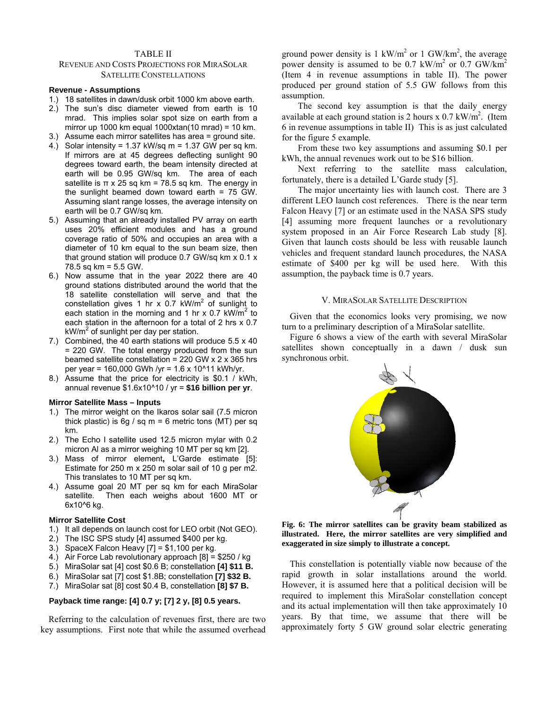## TABLE II

# REVENUE AND COSTS PROJECTIONS FOR MIRASOLAR SATELLITE CONSTELLATIONS

## **Revenue - Assumptions**

- 1.) 18 satellites in dawn/dusk orbit 1000 km above earth.
- 2.) The sun's disc diameter viewed from earth is 10 mrad. This implies solar spot size on earth from a mirror up 1000 km equal 1000xtan(10 mrad) = 10 km.
- 3.) Assume each mirror satellites has area = ground site.
- 4.) Solar intensity = 1.37 kW/sq m = 1.37 GW per sq km. If mirrors are at 45 degrees deflecting sunlight 90 degrees toward earth, the beam intensity directed at earth will be 0.95 GW/sq km. The area of each satellite is  $\pi \times 25$  sq km = 78.5 sq km. The energy in the sunlight beamed down toward earth = 75 GW. Assuming slant range losses, the average intensity on earth will be 0.7 GW/sq km.
- 5.) Assuming that an already installed PV array on earth uses 20% efficient modules and has a ground coverage ratio of 50% and occupies an area with a diameter of 10 km equal to the sun beam size, then that ground station will produce 0.7 GW/sq km x 0.1 x 78.5 sq km = 5.5 GW.
- 6.) Now assume that in the year 2022 there are 40 ground stations distributed around the world that the 18 satellite constellation will serve and that the constellation gives 1 hr x 0.7  $k$ W/m<sup>2</sup> of sunlight to each station in the morning and 1 hr x 0.7  $kW/m^2$  to each station in the afternoon for a total of 2 hrs x 0.7 kW/m<sup>2</sup> of sunlight per day per station.
- 7.) Combined, the 40 earth stations will produce 5.5 x 40 = 220 GW. The total energy produced from the sun beamed satellite constellation =  $220$  GW x 2 x 365 hrs per year = 160,000 GWh /yr = 1.6 x 10^11 kWh/yr.
- 8.) Assume that the price for electricity is \$0.1 / kWh, annual revenue \$1.6x10^10 / yr = **\$16 billion per yr**.

#### **Mirror Satellite Mass – Inputs**

- 1.) The mirror weight on the Ikaros solar sail (7.5 micron thick plastic) is 6g / sq  $m = 6$  metric tons (MT) per sq km.
- 2.) The Echo I satellite used 12.5 micron mylar with 0.2 micron Al as a mirror weighing 10 MT per sq km [2].
- 3.) Mass of mirror element**,** L'Garde estimate [5]: Estimate for 250 m x 250 m solar sail of 10 g per m2. This translates to 10 MT per sq km.
- 4.) Assume goal 20 MT per sq km for each MiraSolar satellite. Then each weighs about 1600 MT or 6x10^6 kg.

#### **Mirror Satellite Cost**

- 1.) It all depends on launch cost for LEO orbit (Not GEO).
- 2.) The ISC SPS study [4] assumed \$400 per kg.
- 3.) SpaceX Falcon Heavy [7] = \$1,100 per kg.
- 4.) Air Force Lab revolutionary approach [8] = \$250 / kg
- 5.) MiraSolar sat [4] cost \$0.6 B; constellation **[4] \$11 B.**
- 6.) MiraSolar sat [7] cost \$1.8B; constellation **[7] \$32 B.**
- 7.) MiraSolar sat [8] cost \$0.4 B, constellation **[8] \$7 B.**

## **Payback time range: [4] 0.7 y; [7] 2 y, [8] 0.5 years.**

Referring to the calculation of revenues first, there are two key assumptions. First note that while the assumed overhead

ground power density is  $1 \text{ kW/m}^2$  or  $1 \text{ GW/km}^2$ , the average power density is assumed to be 0.7 kW/m<sup>2</sup> or 0.7 GW/km<sup>2</sup> (Item 4 in revenue assumptions in table II). The power produced per ground station of 5.5 GW follows from this assumption.

The second key assumption is that the daily energy available at each ground station is 2 hours x  $0.7 \text{ kW/m}^2$ . (Item 6 in revenue assumptions in table II) This is as just calculated for the figure 5 example.

From these two key assumptions and assuming \$0.1 per kWh, the annual revenues work out to be \$16 billion.

Next referring to the satellite mass calculation, fortunately, there is a detailed L'Garde study [5].

The major uncertainty lies with launch cost. There are 3 different LEO launch cost references. There is the near term Falcon Heavy [7] or an estimate used in the NASA SPS study [4] assuming more frequent launches or a revolutionary system proposed in an Air Force Research Lab study [8]. Given that launch costs should be less with reusable launch vehicles and frequent standard launch procedures, the NASA estimate of \$400 per kg will be used here. With this assumption, the payback time is 0.7 years.

## V. MIRASOLAR SATELLITE DESCRIPTION

Given that the economics looks very promising, we now turn to a preliminary description of a MiraSolar satellite.

Figure 6 shows a view of the earth with several MiraSolar satellites shown conceptually in a dawn / dusk sun synchronous orbit.



**Fig. 6: The mirror satellites can be gravity beam stabilized as illustrated. Here, the mirror satellites are very simplified and exaggerated in size simply to illustrate a concept.** 

This constellation is potentially viable now because of the rapid growth in solar installations around the world. However, it is assumed here that a political decision will be required to implement this MiraSolar constellation concept and its actual implementation will then take approximately 10 years. By that time, we assume that there will be approximately forty 5 GW ground solar electric generating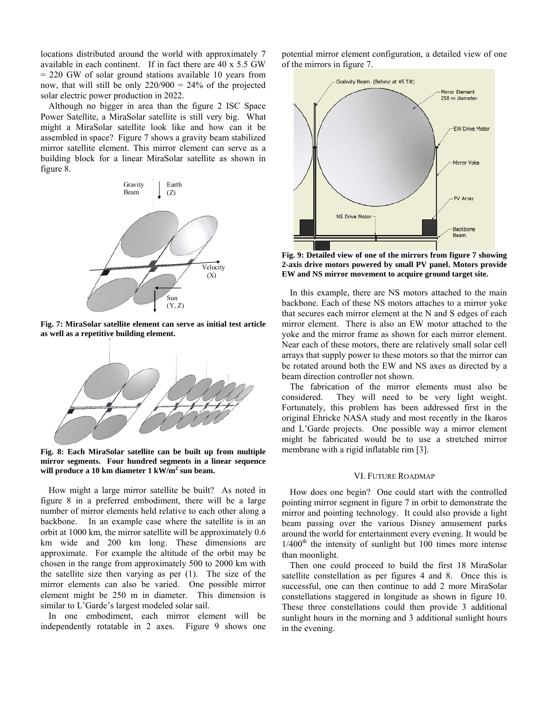locations distributed around the world with approximately 7 available in each continent. If in fact there are 40 x 5.5 GW = 220 GW of solar ground stations available 10 years from now, that will still be only  $220/900 = 24\%$  of the projected solar electric power production in 2022.

Although no bigger in area than the figure 2 ISC Space Power Satellite, a MiraSolar satellite is still very big. What might a MiraSolar satellite look like and how can it be assembled in space? Figure 7 shows a gravity beam stabilized mirror satellite element. This mirror element can serve as a building block for a linear MiraSolar satellite as shown in figure 8.



**Fig. 7: MiraSolar satellite element can serve as initial test article as well as a repetitive building element.** 



**Fig. 8: Each MiraSolar satellite can be built up from multiple mirror segments. Four hundred segments in a linear sequence**  will produce a 10 km diameter 1 kW/m<sup>2</sup> sun beam.

How might a large mirror satellite be built? As noted in figure 8 in a preferred embodiment, there will be a large number of mirror elements held relative to each other along a backbone. In an example case where the satellite is in an orbit at 1000 km, the mirror satellite will be approximately 0.6 km wide and 200 km long. These dimensions are approximate. For example the altitude of the orbit may be chosen in the range from approximately 500 to 2000 km with the satellite size then varying as per (1). The size of the mirror elements can also be varied. One possible mirror element might be 250 m in diameter. This dimension is similar to L'Garde's largest modeled solar sail.

In one embodiment, each mirror element will be independently rotatable in 2 axes. Figure 9 shows one potential mirror element configuration, a detailed view of one of the mirrors in figure 7.



**Fig. 9: Detailed view of one of the mirrors from figure 7 showing 2-axis drive motors powered by small PV panel. Motors provide EW and NS mirror movement to acquire ground target site.** 

In this example, there are NS motors attached to the main backbone. Each of these NS motors attaches to a mirror yoke that secures each mirror element at the N and S edges of each mirror element. There is also an EW motor attached to the yoke and the mirror frame as shown for each mirror element. Near each of these motors, there are relatively small solar cell arrays that supply power to these motors so that the mirror can be rotated around both the EW and NS axes as directed by a beam direction controller not shown.

The fabrication of the mirror elements must also be considered. They will need to be very light weight. Fortunately, this problem has been addressed first in the original Ehricke NASA study and most recently in the Ikaros and L'Garde projects. One possible way a mirror element might be fabricated would be to use a stretched mirror membrane with a rigid inflatable rim [3].

## VI. FUTURE ROADMAP

How does one begin? One could start with the controlled pointing mirror segment in figure 7 in orbit to demonstrate the mirror and pointing technology. It could also provide a light beam passing over the various Disney amusement parks around the world for entertainment every evening. It would be  $1/400<sup>th</sup>$  the intensity of sunlight but 100 times more intense than moonlight.

Then one could proceed to build the first 18 MiraSolar satellite constellation as per figures 4 and 8. Once this is successful, one can then continue to add 2 more MiraSolar constellations staggered in longitude as shown in figure 10. These three constellations could then provide 3 additional sunlight hours in the morning and 3 additional sunlight hours in the evening.